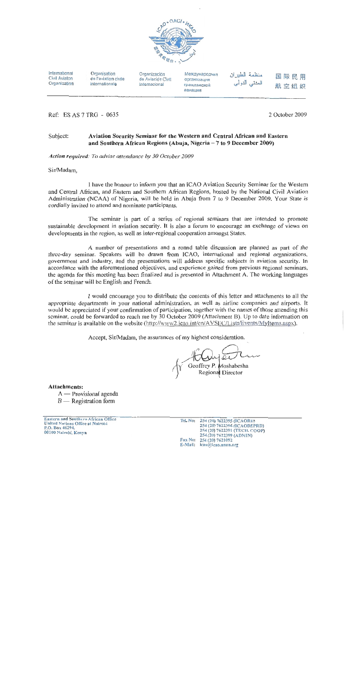

International Civil Aviaton Organization

Ref: ES AS 7 TRG - 0635

Organisation de l'aviation civile internationale

Organización de Aviación Civil Internacional

Международная организация гражданской авиации

# 国际民用 航空组织

2 October 2009

#### Aviation Security Seminar for the Western and Central African and Eastern Subject: and Southern African Regions (Abuja, Nigeria - 7 to 9 December 2009)

Action required: To advise attendance by 30 October 2009

Sir/Madam,

I have the honour to inform you that an ICAO Aviation Security Seminar for the Western and Central African, and Eastern and Southern African Regions, hosted by the National Civil Aviation Administration (NCAA) of Nigeria, will be held in Abuja from 7 to 9 December 2009. Your State is cordially invited to attend and nominate participants.

The seminar is part of a series of regional seminars that are intended to promote sustainable development in aviation security. It is also a forum to encourage an exchange of views on developments in the region, as well as inter-regional cooperation amongst States.

A number of presentations and a ronnd table discussion are planned as part of the three-day seminar. Speakers will be drawn from ICAO, international and regional organizations, government and industry, and the presentations will address specific subjects in aviation security. In accordance with the aforementioned objectives, and experience gained from previous regional seminars, the agenda for this meeting has been finalized and is presented in Attachment A. The working languages of the seminar will be English and French.

I would encourage you to distribute the contents of this letter and attachments to all the appropriate departments in your national administration, as well as airline companies and airports. It would be appreciated if your confirmation of participation, together with the names of those attending this seminar, could be forwarded to reach me by 30 October 2009 (Attachment B). Up to date information on the seminar is available on the website (http://www2.jcao.int/en/AVSEC/Lists/Events/Myltems.aspx).

Accept, Sir/Madam, the assurances of my highest consideration.

Geoffrey P. Moshabesha Regional Director

**Attachments:** 

- A Provisional agenda
- $B$  Registration form

Eastern and Southern African Office United Nations Office at Nairobi<br>P.O. Bwx 46294,<br>00100 Nairobi, Kenya

Tel.No: 254 (20) 7622395 (ICAORD) 254 (20) 7622396 (ICAODEPRD)<br>254 (20) 7622396 (ICAODEPRD) 254 (20) 7622399 (ADMIN)<br>Fax No: 254 (20) 7621092 E-Mail: icao@icao.unon.org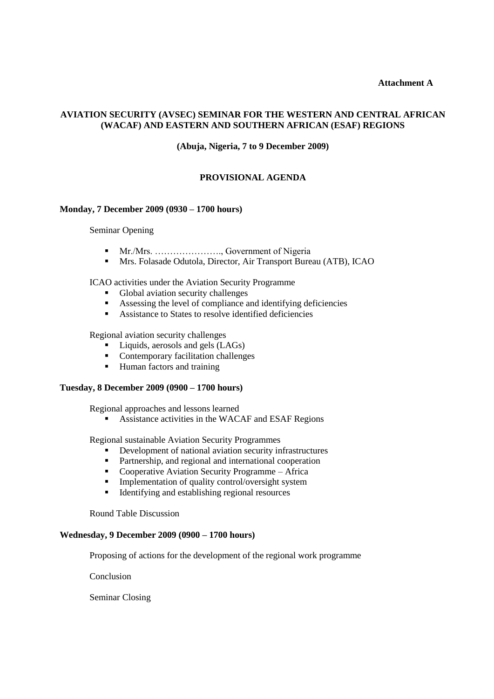### **Attachment A**

## **AVIATION SECURITY (AVSEC) SEMINAR FOR THE WESTERN AND CENTRAL AFRICAN (WACAF) AND EASTERN AND SOUTHERN AFRICAN (ESAF) REGIONS**

**(Abuja, Nigeria, 7 to 9 December 2009)**

### **PROVISIONAL AGENDA**

#### **Monday, 7 December 2009 (0930 – 1700 hours)**

Seminar Opening

- Mr./Mrs. …………………., Government of Nigeria
- Mrs. Folasade Odutola, Director, Air Transport Bureau (ATB), ICAO

ICAO activities under the Aviation Security Programme

- Global aviation security challenges
- Assessing the level of compliance and identifying deficiencies
- Assistance to States to resolve identified deficiencies

Regional aviation security challenges

- Liquids, aerosols and gels (LAGs)
- Contemporary facilitation challenges
- Human factors and training

#### **Tuesday, 8 December 2009 (0900 – 1700 hours)**

Regional approaches and lessons learned

Assistance activities in the WACAF and ESAF Regions

Regional sustainable Aviation Security Programmes

- Development of national aviation security infrastructures
- **Partnership, and regional and international cooperation**
- Cooperative Aviation Security Programme Africa
- **Implementation of quality control/oversight system**
- Identifying and establishing regional resources

Round Table Discussion

#### **Wednesday, 9 December 2009 (0900 – 1700 hours)**

Proposing of actions for the development of the regional work programme

Conclusion

Seminar Closing